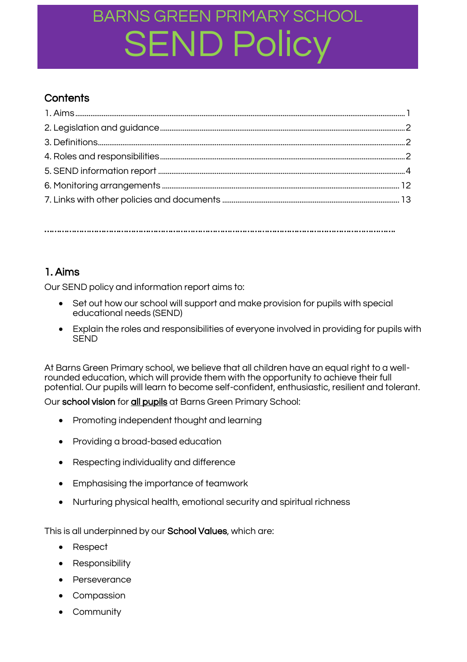### **Contents**

…………………………………………………………………………………………………………………………….

### 1. Aims

Our SEND policy and information report aims to:

- Set out how our school will support and make provision for pupils with special educational needs (SEND)
- Explain the roles and responsibilities of everyone involved in providing for pupils with **SEND**

At Barns Green Primary school, we believe that all children have an equal right to a wellrounded education, which will provide them with the opportunity to achieve their full potential. Our pupils will learn to become self-confident, enthusiastic, resilient and tolerant.

Our school vision for all pupils at Barns Green Primary School:

- Promoting independent thought and learning
- Providing a broad-based education
- Respecting individuality and difference
- Emphasising the importance of teamwork
- Nurturing physical health, emotional security and spiritual richness

This is all underpinned by our School Values, which are:

- Respect
- Responsibility
- Perseverance
- Compassion
- Community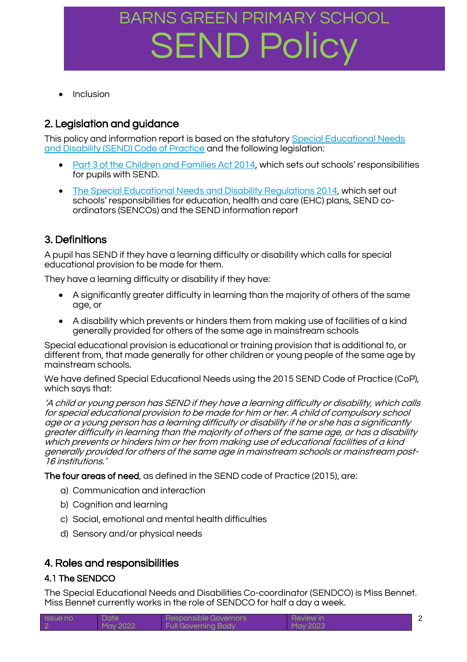Inclusion

### 2. Legislation and guidance

This policy and information report is based on the statutory [Special Educational Needs](https://www.gov.uk/government/uploads/system/uploads/attachment_data/file/398815/SEND_Code_of_Practice_January_2015.pdf)  [and Disability \(SEND\) Code of Practice](https://www.gov.uk/government/uploads/system/uploads/attachment_data/file/398815/SEND_Code_of_Practice_January_2015.pdf) and the following legislation:

- [Part 3 of the Children and Families Act 2014](http://www.legislation.gov.uk/ukpga/2014/6/part/3), which sets out schools' responsibilities for pupils with SEND.
- [The Special Educational Needs and Disability Regulations 2014,](http://www.legislation.gov.uk/uksi/2014/1530/contents/made) which set out schools' responsibilities for education, health and care (EHC) plans, SEND coordinators (SENCOs) and the SEND information report

### 3. Definitions

A pupil has SEND if they have a learning difficulty or disability which calls for special educational provision to be made for them.

They have a learning difficulty or disability if they have:

- A significantly greater difficulty in learning than the majority of others of the same age, or
- A disability which prevents or hinders them from making use of facilities of a kind aenerally provided for others of the same age in mainstream schools

Special educational provision is educational or training provision that is additional to, or different from, that made generally for other children or young people of the same age by mainstream schools.

We have defined Special Educational Needs using the 2015 SEND Code of Practice (CoP), which says that:

'A child or young person has SEND if they have a learning difficulty or disability, which calls for special educational provision to be made for him or her. A child of compulsory school age or a young person has a learning difficulty or disability if he or she has a significantly greater difficulty in learning than the majority of others of the same age, or has a disability which prevents or hinders him or her from making use of educational facilities of a kind generally provided for others of the same age in mainstream schools or mainstream post-16 institutions.'

The four areas of need, as defined in the SEND code of Practice (2015), are:

- a) Communication and interaction
- b) Cognition and learning
- c) Social, emotional and mental health difficulties
- d) Sensory and/or physical needs

### 4. Roles and responsibilities

#### 4.1 The SENDCO

The Special Educational Needs and Disabilities Co-coordinator (SENDCO) is Miss Bennet. Miss Bennet currently works in the role of SENDCO for half a day a week.

| <b>Issue no</b> | Date     | Responsible Governors      | Review in |  |
|-----------------|----------|----------------------------|-----------|--|
|                 | May 2022 | <b>Full Governing Body</b> | May 2023  |  |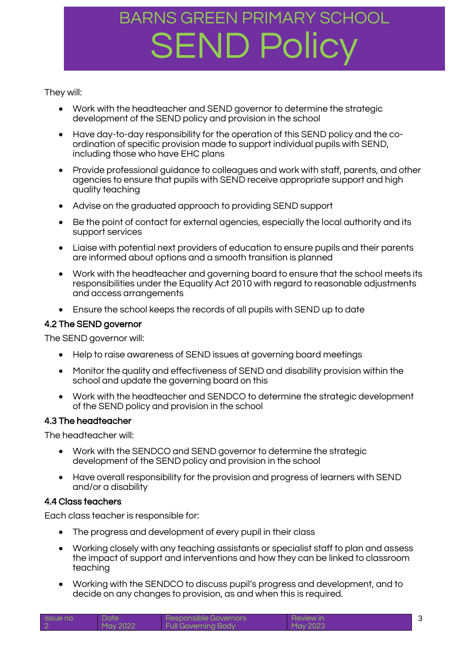They will:

- Work with the headteacher and SEND governor to determine the strategic development of the SEND policy and provision in the school
- Have day-to-day responsibility for the operation of this SEND policy and the coordination of specific provision made to support individual pupils with SEND, including those who have EHC plans
- Provide professional guidance to colleagues and work with staff, parents, and other agencies to ensure that pupils with SEND receive appropriate support and high quality teaching
- Advise on the graduated approach to providing SEND support
- Be the point of contact for external agencies, especially the local authority and its support services
- Liaise with potential next providers of education to ensure pupils and their parents are informed about options and a smooth transition is planned
- Work with the headteacher and governing board to ensure that the school meets its responsibilities under the Equality Act 2010 with regard to reasonable adjustments and access arrangements
- Ensure the school keeps the records of all pupils with SEND up to date

### 4.2 The SEND governor

The SEND governor will:

- Help to raise awareness of SEND issues at governing board meetings
- Monitor the quality and effectiveness of SEND and disability provision within the school and update the governing board on this
- Work with the headteacher and SENDCO to determine the strategic development of the SEND policy and provision in the school

#### 4.3 The headteacher

The headteacher will:

- Work with the SENDCO and SEND governor to determine the strategic development of the SEND policy and provision in the school
- Have overall responsibility for the provision and progress of learners with SEND and/or a disability

#### 4.4 Class teachers

Each class teacher is responsible for:

- The progress and development of every pupil in their class
- Working closely with any teaching assistants or specialist staff to plan and assess the impact of support and interventions and how they can be linked to classroom teaching
- Working with the SENDCO to discuss pupil's progress and development, and to decide on any changes to provision, as and when this is required.

| <b>Issue no</b> | Date     | Responsible Governors      | <b>Review in</b> |  |
|-----------------|----------|----------------------------|------------------|--|
|                 | May 2022 | <b>Full Governing Body</b> | May 2023         |  |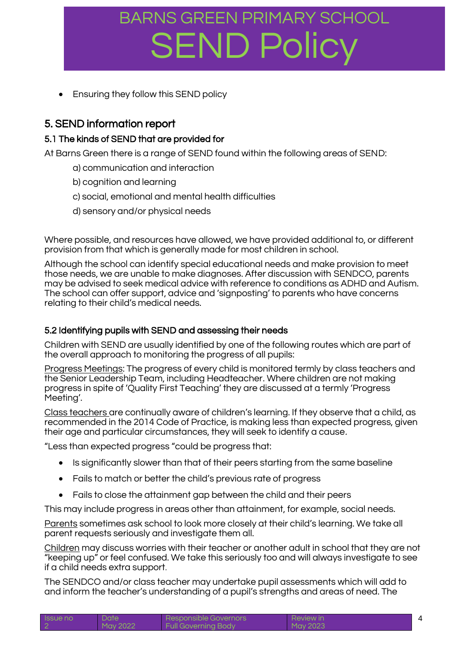Ensuring they follow this SEND policy

### 5. SEND information report

### 5.1 The kinds of SEND that are provided for

At Barns Green there is a range of SEND found within the following areas of SEND:

- a) communication and interaction
- b) cognition and learning
- c) social, emotional and mental health difficulties
- d) sensory and/or physical needs

Where possible, and resources have allowed, we have provided additional to, or different provision from that which is generally made for most children in school.

Although the school can identify special educational needs and make provision to meet those needs, we are unable to make diagnoses. After discussion with SENDCO, parents may be advised to seek medical advice with reference to conditions as ADHD and Autism. The school can offer support, advice and 'signposting' to parents who have concerns relating to their child's medical needs.

### 5.2 Identifying pupils with SEND and assessing their needs

Children with SEND are usually identified by one of the following routes which are part of the overall approach to monitoring the progress of all pupils:

Progress Meetings: The progress of every child is monitored termly by class teachers and the Senior Leadership Team, including Headteacher. Where children are not making progress in spite of 'Quality First Teaching' they are discussed at a termly 'Progress Meeting'.

Class teachers are continually aware of children's learning. If they observe that a child, as recommended in the 2014 Code of Practice, is making less than expected progress, given their age and particular circumstances, they will seek to identify a cause.

"Less than expected progress "could be progress that:

- Is significantly slower than that of their peers starting from the same baseline
- Fails to match or better the child's previous rate of progress
- Fails to close the attainment gap between the child and their peers

This may include progress in areas other than attainment, for example, social needs.

Parents sometimes ask school to look more closely at their child's learning. We take all parent requests seriously and investigate them all.

Children may discuss worries with their teacher or another adult in school that they are not "keeping up" or feel confused. We take this seriously too and will always investigate to see if a child needs extra support.

The SENDCO and/or class teacher may undertake pupil assessments which will add to and inform the teacher's understanding of a pupil's strengths and areas of need. The

| <b>Issue no</b> | Date     | Responsible Governors      | Review in |  |
|-----------------|----------|----------------------------|-----------|--|
|                 | May 2022 | <b>Full Governing Body</b> | May 2023  |  |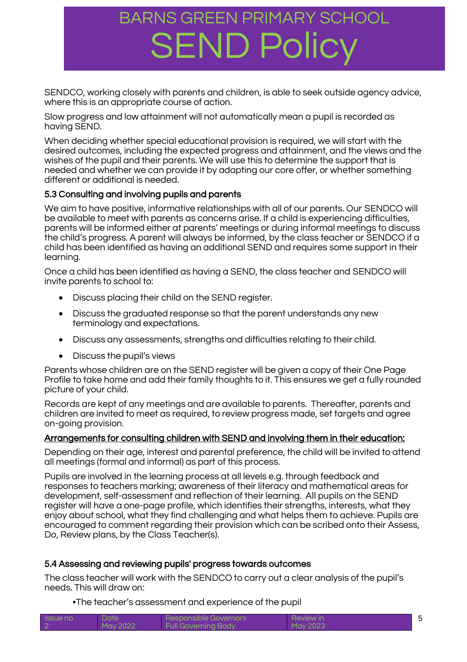SENDCO, working closely with parents and children, is able to seek outside agency advice, where this is an appropriate course of action.

Slow progress and low attainment will not automatically mean a pupil is recorded as having SEND.

When deciding whether special educational provision is required, we will start with the desired outcomes, including the expected progress and attainment, and the views and the wishes of the pupil and their parents. We will use this to determine the support that is needed and whether we can provide it by adapting our core offer, or whether something different or additional is needed.

### 5.3 Consulting and involving pupils and parents

We aim to have positive, informative relationships with all of our parents. Our SENDCO will be available to meet with parents as concerns arise. If a child is experiencing difficulties, parents will be informed either at parents' meetings or during informal meetings to discuss the child's progress. A parent will always be informed, by the class teacher or SENDCO if a child has been identified as having an additional SEND and requires some support in their learning.

Once a child has been identified as having a SEND, the class teacher and SENDCO will invite parents to school to:

- Discuss placing their child on the SEND register.
- Discuss the graduated response so that the parent understands any new terminology and expectations.
- Discuss any assessments, strengths and difficulties relating to their child.
- Discuss the pupil's views

Parents whose children are on the SEND register will be given a copy of their One Page Profile to take home and add their family thoughts to it. This ensures we get a fully rounded picture of your child.

Records are kept of any meetings and are available to parents. Thereafter, parents and children are invited to meet as required, to review progress made, set targets and agree on-going provision.

#### Arrangements for consulting children with SEND and involving them in their education:

Depending on their age, interest and parental preference, the child will be invited to attend all meetings (formal and informal) as part of this process.

Pupils are involved in the learning process at all levels e.g. through feedback and responses to teachers marking; awareness of their literacy and mathematical areas for development, self-assessment and reflection of their learning. All pupils on the SEND register will have a one-page profile, which identifies their strengths, interests, what they enjoy about school, what they find challenging and what helps them to achieve. Pupils are encouraged to comment regarding their provision which can be scribed onto their Assess, Do, Review plans, by the Class Teacher(s).

#### 5.4 Assessing and reviewing pupils' progress towards outcomes

The class teacher will work with the SENDCO to carry out a clear analysis of the pupil's needs. This will draw on:

•The teacher's assessment and experience of the pupil

| <b>ISSUE NO</b> | Date     | Responsible Governors      | Review in |  |
|-----------------|----------|----------------------------|-----------|--|
|                 | May 2022 | <b>Full Governing Body</b> | May 2023  |  |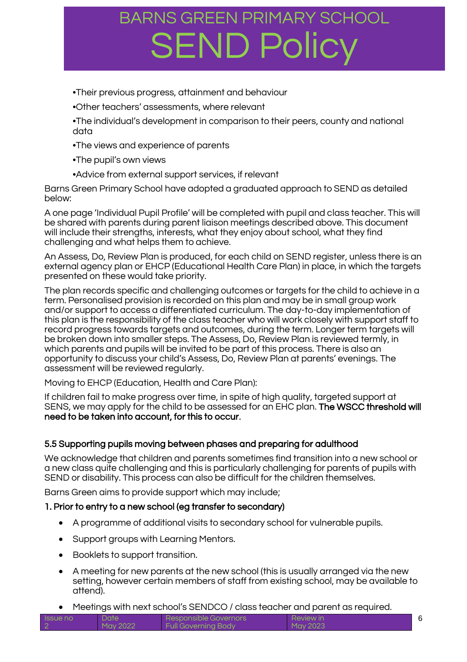- •Their previous progress, attainment and behaviour
- •Other teachers' assessments, where relevant
- •The individual's development in comparison to their peers, county and national data
- •The views and experience of parents
- •The pupil's own views
- •Advice from external support services, if relevant

Barns Green Primary School have adopted a graduated approach to SEND as detailed below:

A one page 'Individual Pupil Profile' will be completed with pupil and class teacher. This will be shared with parents during parent liaison meetings described above. This document will include their strengths, interests, what they enjoy about school, what they find challenging and what helps them to achieve.

An Assess, Do, Review Plan is produced, for each child on SEND register, unless there is an external agency plan or EHCP (Educational Health Care Plan) in place, in which the targets presented on these would take priority.

The plan records specific and challenging outcomes or targets for the child to achieve in a term. Personalised provision is recorded on this plan and may be in small group work and/or support to access a differentiated curriculum. The day-to-day implementation of this plan is the responsibility of the class teacher who will work closely with support staff to record progress towards targets and outcomes, during the term. Longer term targets will be broken down into smaller steps. The Assess, Do, Review Plan is reviewed termly, in which parents and pupils will be invited to be part of this process. There is also an opportunity to discuss your child's Assess, Do, Review Plan at parents' evenings. The assessment will be reviewed regularly.

Moving to EHCP (Education, Health and Care Plan):

If children fail to make progress over time, in spite of high quality, targeted support at SENS, we may apply for the child to be assessed for an EHC plan. The WSCC threshold will need to be taken into account, for this to occur.

#### 5.5 Supporting pupils moving between phases and preparing for adulthood

We acknowledge that children and parents sometimes find transition into a new school or a new class quite challenging and this is particularly challenging for parents of pupils with SEND or disability. This process can also be difficult for the children themselves.

Barns Green aims to provide support which may include;

#### 1. Prior to entry to a new school (eg transfer to secondary)

- A programme of additional visits to secondary school for vulnerable pupils.
- Support groups with Learning Mentors.
- Booklets to support transition.
- A meeting for new parents at the new school (this is usually arranged via the new setting, however certain members of staff from existing school, may be available to attend).
- Meetings with next school's SENDCO / class teacher and parent as required.

| <b>Issue</b> no | Date <sup>'</sup> | Responsible Governors      | Review in |  |
|-----------------|-------------------|----------------------------|-----------|--|
|                 | $M$ ay 2022       | <b>Full Governing Body</b> | Mav 2023  |  |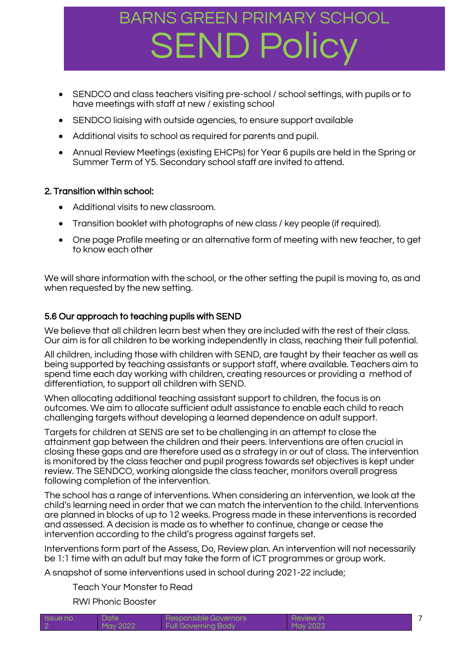- SENDCO and class teachers visiting pre-school / school settings, with pupils or to have meetings with staff at new / existing school
- SENDCO liaising with outside agencies, to ensure support available
- Additional visits to school as required for parents and pupil.
- Annual Review Meetings (existing EHCPs) for Year 6 pupils are held in the Spring or Summer Term of Y5. Secondary school staff are invited to attend.

#### 2. Transition within school:

- Additional visits to new classroom.
- Transition booklet with photographs of new class / key people (if required).
- One page Profile meeting or an alternative form of meeting with new teacher, to get to know each other

We will share information with the school, or the other setting the pupil is moving to, as and when requested by the new setting.

### 5.6 Our approach to teaching pupils with SEND

We believe that all children learn best when they are included with the rest of their class. Our aim is for all children to be working independently in class, reaching their full potential.

All children, including those with children with SEND, are taught by their teacher as well as being supported by teaching assistants or support staff, where available. Teachers aim to spend time each day working with children, creating resources or providing a method of differentiation, to support all children with SEND.

When allocating additional teaching assistant support to children, the focus is on outcomes. We aim to allocate sufficient adult assistance to enable each child to reach challenging targets without developing a learned dependence on adult support.

Targets for children at SENS are set to be challenging in an attempt to close the attainment gap between the children and their peers. Interventions are often crucial in closing these gaps and are therefore used as a strategy in or out of class. The intervention is monitored by the class teacher and pupil progress towards set objectives is kept under review. The SENDCO, working alongside the class teacher, monitors overall progress following completion of the intervention.

The school has a range of interventions. When considering an intervention, we look at the child's learning need in order that we can match the intervention to the child. Interventions are planned in blocks of up to 12 weeks. Progress made in these interventions is recorded and assessed. A decision is made as to whether to continue, change or cease the intervention according to the child's progress against targets set.

Interventions form part of the Assess, Do, Review plan. An intervention will not necessarily be 1:1 time with an adult but may take the form of ICT programmes or group work.

A snapshot of some interventions used in school during 2021-22 include;

Teach Your Monster to Read

RWI Phonic Booster

| <b>Issue</b> no | <b>Date</b> | Responsible Governors      | Review in |  |
|-----------------|-------------|----------------------------|-----------|--|
|                 | May 2022    | <b>Full Governing Body</b> | May 2023  |  |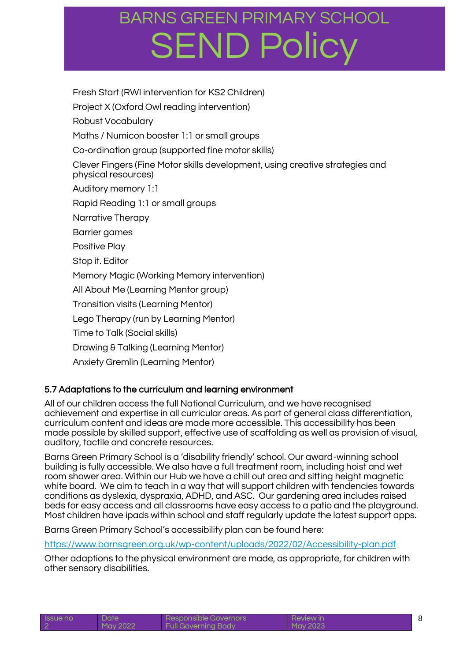Fresh Start (RWI intervention for KS2 Children) Project X (Oxford Owl reading intervention) Robust Vocabulary Maths / Numicon booster 1:1 or small groups Co-ordination group (supported fine motor skills) Clever Fingers (Fine Motor skills development, using creative strategies and physical resources) Auditory memory 1:1 Rapid Reading 1:1 or small groups Narrative Therapy Barrier games Positive Play Stop it. Editor Memory Magic (Working Memory intervention) All About Me (Learning Mentor group) Transition visits (Learning Mentor) Lego Therapy (run by Learning Mentor) Time to Talk (Social skills) Drawing & Talking (Learning Mentor) Anxiety Gremlin (Learning Mentor)

### 5.7 Adaptations to the curriculum and learning environment

All of our children access the full National Curriculum, and we have recognised achievement and expertise in all curricular areas. As part of general class differentiation, curriculum content and ideas are made more accessible. This accessibility has been made possible by skilled support, effective use of scaffolding as well as provision of visual, auditory, tactile and concrete resources.

Barns Green Primary School is a 'disability friendly' school. Our award-winning school building is fully accessible. We also have a full treatment room, including hoist and wet room shower area. Within our Hub we have a chill out area and sitting height magnetic white board. We aim to teach in a way that will support children with tendencies towards conditions as dyslexia, dyspraxia, ADHD, and ASC. Our gardening area includes raised beds for easy access and all classrooms have easy access to a patio and the playground. Most children have ipads within school and staff regularly update the latest support apps.

Barns Green Primary School's accessibility plan can be found here:

<https://www.barnsgreen.org.uk/wp-content/uploads/2022/02/Accessibility-plan.pdf>

Other adaptions to the physical environment are made, as appropriate, for children with other sensory disabilities.

| <b>Issue no</b> | Date     | Responsible Governors      | Review in |  |
|-----------------|----------|----------------------------|-----------|--|
|                 | May 2022 | <b>Full Governing Body</b> | May 2023  |  |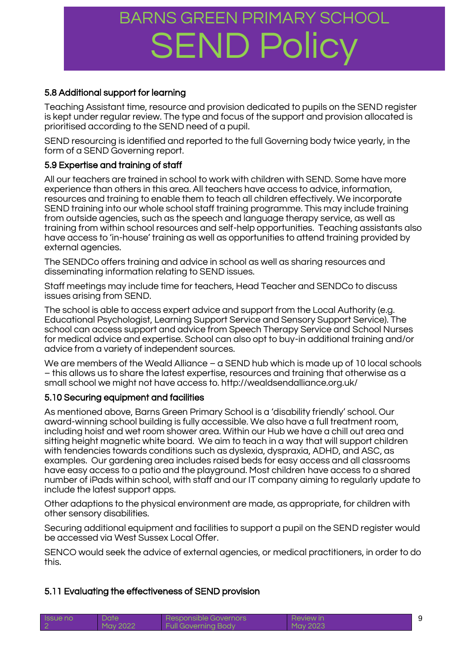### 5.8 Additional support for learning

Teaching Assistant time, resource and provision dedicated to pupils on the SEND register is kept under regular review. The type and focus of the support and provision allocated is prioritised according to the SEND need of a pupil.

SEND resourcing is identified and reported to the full Governing body twice yearly, in the form of a SEND Governing report.

### 5.9 Expertise and training of staff

All our teachers are trained in school to work with children with SEND. Some have more experience than others in this area. All teachers have access to advice, information, resources and training to enable them to teach all children effectively. We incorporate SEND training into our whole school staff training programme. This may include training from outside agencies, such as the speech and language therapy service, as well as training from within school resources and self-help opportunities. Teaching assistants also have access to 'in-house' training as well as opportunities to attend training provided by external agencies.

The SENDCo offers training and advice in school as well as sharing resources and disseminating information relating to SEND issues.

Staff meetings may include time for teachers, Head Teacher and SENDCo to discuss issues arising from SEND.

The school is able to access expert advice and support from the Local Authority (e.g. Educational Psychologist, Learning Support Service and Sensory Support Service). The school can access support and advice from Speech Therapy Service and School Nurses for medical advice and expertise. School can also opt to buy-in additional training and/or advice from a variety of independent sources.

We are members of the Weald Alliance – a SEND hub which is made up of 10 local schools – this allows us to share the latest expertise, resources and training that otherwise as a small school we might not have access to. http://wealdsendalliance.org.uk/

#### 5.10 Securing equipment and facilities

As mentioned above, Barns Green Primary School is a 'disability friendly' school. Our award-winning school building is fully accessible. We also have a full treatment room, including hoist and wet room shower area. Within our Hub we have a chill out area and sitting height magnetic white board. We aim to teach in a way that will support children with tendencies towards conditions such as dyslexia, dyspraxia, ADHD, and ASC, as examples. Our gardening area includes raised beds for easy access and all classrooms have easy access to a patio and the playground. Most children have access to a shared number of iPads within school, with staff and our IT company aiming to regularly update to include the latest support apps.

Other adaptions to the physical environment are made, as appropriate, for children with other sensory disabilities.

Securing additional equipment and facilities to support a pupil on the SEND register would be accessed via West Sussex Local Offer.

SENCO would seek the advice of external agencies, or medical practitioners, in order to do this.

### 5.11 Evaluating the effectiveness of SEND provision

| <b>Issue no</b> | Date     | Responsible Governors      | Review in |  |
|-----------------|----------|----------------------------|-----------|--|
|                 | May 2022 | <b>Full Governing Body</b> | May 2023  |  |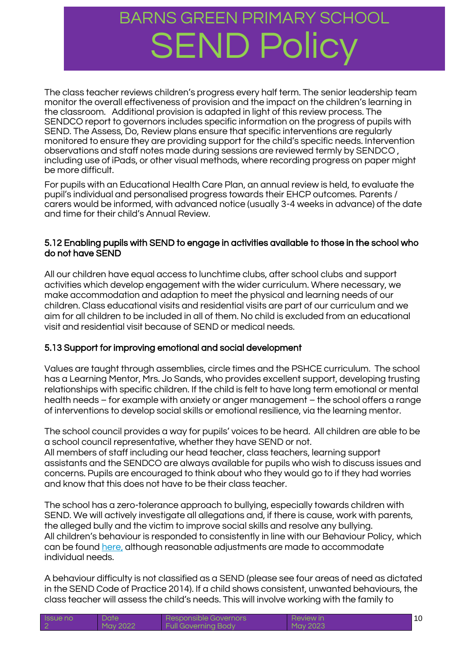The class teacher reviews children's progress every half term. The senior leadership team monitor the overall effectiveness of provision and the impact on the children's learning in the classroom. Additional provision is adapted in light of this review process. The SENDCO report to governors includes specific information on the progress of pupils with SEND. The Assess, Do, Review plans ensure that specific interventions are regularly monitored to ensure they are providing support for the child's specific needs. Intervention observations and staff notes made during sessions are reviewed termly by SENDCO , including use of iPads, or other visual methods, where recording progress on paper might be more difficult.

For pupils with an Educational Health Care Plan, an annual review is held, to evaluate the pupil's individual and personalised progress towards their EHCP outcomes. Parents / carers would be informed, with advanced notice (usually 3-4 weeks in advance) of the date and time for their child's Annual Review.

#### 5.12 Enabling pupils with SEND to engage in activities available to those in the school who do not have SEND

All our children have equal access to lunchtime clubs, after school clubs and support activities which develop engagement with the wider curriculum. Where necessary, we make accommodation and adaption to meet the physical and learning needs of our children. Class educational visits and residential visits are part of our curriculum and we aim for all children to be included in all of them. No child is excluded from an educational visit and residential visit because of SEND or medical needs.

### 5.13 Support for improving emotional and social development

Values are taught through assemblies, circle times and the PSHCE curriculum. The school has a Learning Mentor, Mrs. Jo Sands, who provides excellent support, developing trusting relationships with specific children. If the child is felt to have long term emotional or mental health needs – for example with anxiety or anger management – the school offers a range of interventions to develop social skills or emotional resilience, via the learning mentor.

The school council provides a way for pupils' voices to be heard. All children are able to be a school council representative, whether they have SEND or not.

All members of staff including our head teacher, class teachers, learning support assistants and the SENDCO are always available for pupils who wish to discuss issues and concerns. Pupils are encouraged to think about who they would go to if they had worries and know that this does not have to be their class teacher.

The school has a zero-tolerance approach to bullying, especially towards children with SEND. We will actively investigate all allegations and, if there is cause, work with parents, the alleged bully and the victim to improve social skills and resolve any bullying. All children's behaviour is responded to consistently in line with our Behaviour Policy, which can be found [here,](http://www.barnsgreen.org.uk/governors/2018-anti-bullying-policy-2%20%282%29.pdf) although reasonable adjustments are made to accommodate individual needs.

A behaviour difficulty is not classified as a SEND (please see four areas of need as dictated in the SEND Code of Practice 2014). If a child shows consistent, unwanted behaviours, the class teacher will assess the child's needs. This will involve working with the family to

| <b>ISSUE NO</b> | Date     | Responsible Governors      | <b>Review in</b> |  |
|-----------------|----------|----------------------------|------------------|--|
|                 | May 2022 | <b>Full Governing Body</b> | May 2023         |  |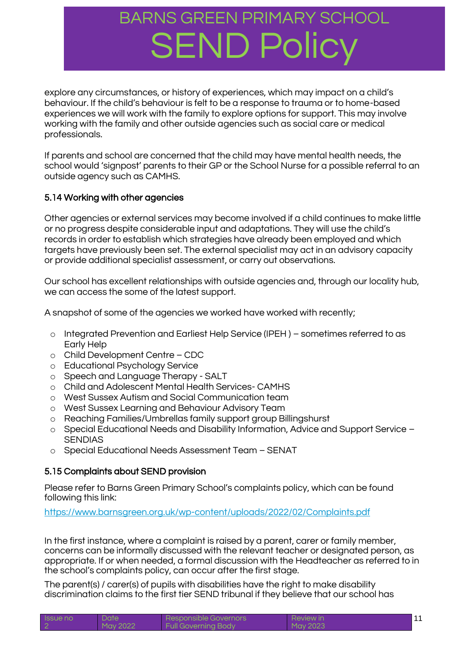explore any circumstances, or history of experiences, which may impact on a child's behaviour. If the child's behaviour is felt to be a response to trauma or to home-based experiences we will work with the family to explore options for support. This may involve working with the family and other outside agencies such as social care or medical professionals.

If parents and school are concerned that the child may have mental health needs, the school would 'signpost' parents to their GP or the School Nurse for a possible referral to an outside agency such as CAMHS.

### 5.14 Working with other agencies

Other agencies or external services may become involved if a child continues to make little or no progress despite considerable input and adaptations. They will use the child's records in order to establish which strategies have already been employed and which targets have previously been set. The external specialist may act in an advisory capacity or provide additional specialist assessment, or carry out observations.

Our school has excellent relationships with outside agencies and, through our locality hub, we can access the some of the latest support.

A snapshot of some of the agencies we worked have worked with recently;

- o Integrated Prevention and Earliest Help Service (IPEH ) sometimes referred to as Early Help
- o Child Development Centre CDC
- o Educational Psychology Service
- o Speech and Language Therapy SALT
- o Child and Adolescent Mental Health Services- CAMHS
- o West Sussex Autism and Social Communication team
- o West Sussex Learning and Behaviour Advisory Team
- o Reaching Families/Umbrellas family support group Billingshurst
- o Special Educational Needs and Disability Information, Advice and Support Service **SENDIAS**
- o Special Educational Needs Assessment Team SENAT

### 5.15 Complaints about SEND provision

Please refer to Barns Green Primary School's complaints policy, which can be found following this link:

#### <https://www.barnsgreen.org.uk/wp-content/uploads/2022/02/Complaints.pdf>

In the first instance, where a complaint is raised by a parent, carer or family member, concerns can be informally discussed with the relevant teacher or designated person, as appropriate. If or when needed, a formal discussion with the Headteacher as referred to in the school's complaints policy, can occur after the first stage.

The parent(s) / carer(s) of pupils with disabilities have the right to make disability discrimination claims to the first tier SEND tribunal if they believe that our school has

| <b>Issue no</b> | Date     | Responsible Governors      | <b>Review in</b> |  |
|-----------------|----------|----------------------------|------------------|--|
|                 | May 2022 | <b>Full Governing Body</b> | May 2023         |  |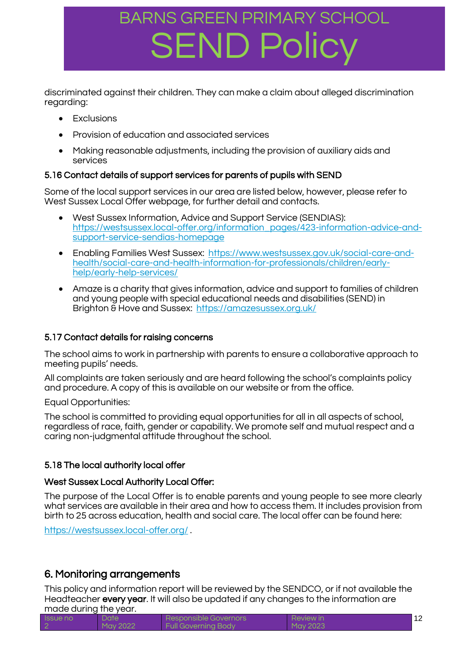discriminated against their children. They can make a claim about alleged discrimination regarding:

- Exclusions
- Provision of education and associated services
- Making reasonable adjustments, including the provision of auxiliary aids and services

### 5.16 Contact details of support services for parents of pupils with SEND

Some of the local support services in our area are listed below, however, please refer to West Sussex Local Offer webpage, for further detail and contacts.

- West Sussex Information, Advice and Support Service (SENDIAS): [https://westsussex.local-offer.org/information\\_pages/423-information-advice-and](https://westsussex.local-offer.org/information_pages/423-information-advice-and-support-service-sendias-homepage)[support-service-sendias-homepage](https://westsussex.local-offer.org/information_pages/423-information-advice-and-support-service-sendias-homepage)
- Enabling Families West Sussex: [https://www.westsussex.gov.uk/social-care-and](https://www.westsussex.gov.uk/social-care-and-health/social-care-and-health-information-for-professionals/children/early-help/early-help-services/)[health/social-care-and-health-information-for-professionals/children/early](https://www.westsussex.gov.uk/social-care-and-health/social-care-and-health-information-for-professionals/children/early-help/early-help-services/)[help/early-help-services/](https://www.westsussex.gov.uk/social-care-and-health/social-care-and-health-information-for-professionals/children/early-help/early-help-services/)
- Amaze is a charity that gives information, advice and support to families of children and young people with special educational needs and disabilities (SEND) in Brighton & Hove and Sussex: <https://amazesussex.org.uk/>

### 5.17 Contact details for raising concerns

The school aims to work in partnership with parents to ensure a collaborative approach to meeting pupils' needs.

All complaints are taken seriously and are heard following the school's complaints policy and procedure. A copy of this is available on our website or from the office.

Equal Opportunities:

The school is committed to providing equal opportunities for all in all aspects of school, regardless of race, faith, gender or capability. We promote self and mutual respect and a caring non-judgmental attitude throughout the school.

### 5.18 The local authority local offer

### West Sussex Local Authority Local Offer:

The purpose of the Local Offer is to enable parents and young people to see more clearly what services are available in their area and how to access them. It includes provision from birth to 25 across education, health and social care. The local offer can be found here:

<https://westsussex.local-offer.org/>.

### 6. Monitoring arrangements

This policy and information report will be reviewed by the SENDCO, or if not available the Headteacher every year. It will also be updated if any changes to the information are made during the year.

| <b>ISSUE NO</b> | Date     | Responsible Governors      | Review in |  |
|-----------------|----------|----------------------------|-----------|--|
|                 | May 2022 | <b>Full Governing Body</b> | May 2023  |  |